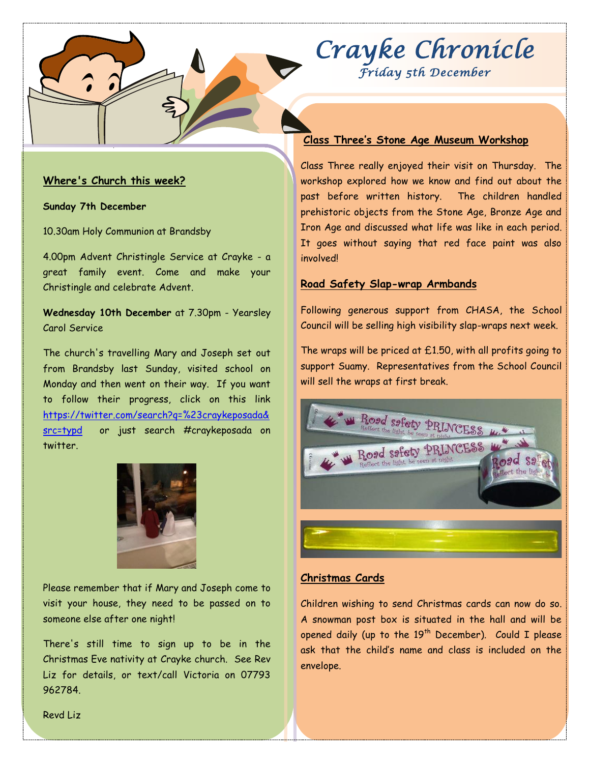# *Crayke Chronicle Friday 5th December*

#### **Where's Church this week?**

**Sunday 7th December**

10.30am Holy Communion at Brandsby

4.00pm Advent Christingle Service at Crayke - a great family event. Come and make your Christingle and celebrate Advent.

**Wednesday 10th December** at 7.30pm - Yearsley Carol Service

The church's travelling Mary and Joseph set out from Brandsby last Sunday, visited school on Monday and then went on their way. If you want to follow their progress, click on this link [https://twitter.com/search?q=%23craykeposada&](https://twitter.com/search?q=%23craykeposada&src=typd) [src=typd](https://twitter.com/search?q=%23craykeposada&src=typd) or just search #craykeposada on twitter.



Please remember that if Mary and Joseph come to visit your house, they need to be passed on to someone else after one night!

There's still time to sign up to be in the Christmas Eve nativity at Crayke church. See Rev Liz for details, or text/call Victoria on 07793 962784.

## **Class Three's Stone Age Museum Workshop**

Class Three really enjoyed their visit on Thursday. The workshop explored how we know and find out about the past before written history. The children handled prehistoric objects from the Stone Age, Bronze Age and Iron Age and discussed what life was like in each period. It goes without saying that red face paint was also involved!

#### **Road Safety Slap-wrap Armbands**

Following generous support from CHASA, the School Council will be selling high visibility slap-wraps next week.

The wraps will be priced at  $£1.50$ , with all profits going to support Suamy. Representatives from the School Council will sell the wraps at first break.



#### **Christmas Cards**

Children wishing to send Christmas cards can now do so. A snowman post box is situated in the hall and will be opened daily (up to the  $19<sup>th</sup>$  December). Could I please ask that the child's name and class is included on the envelope.

Revd Liz